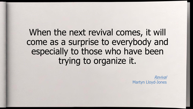When the next revival comes, it will come as a surprise to everybody and especially to those who have been trying to organize it.

**Revival** Martyn Lloyd-Jones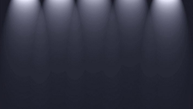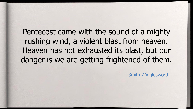Pentecost came with the sound of a mighty rushing wind, a violent blast from heaven. Heaven has not exhausted its blast, but our danger is we are getting frightened of them.

Smith Wigglesworth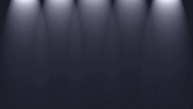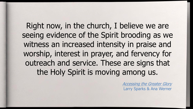Right now, in the church, I believe we are seeing evidence of the Spirit brooding as we witness an increased intensity in praise and worship, interest in prayer, and fervency for outreach and service. These are signs that the Holy Spirit is moving among us.

> **Accessing the Greater Glory** Larry Sparks & Ana Werner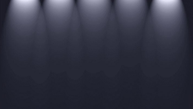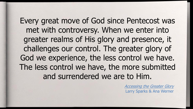Every great move of God since Pentecost was met with controversy. When we enter into greater realms of His glory and presence, it challenges our control. The greater glory of God we experience, the less control we have. The less control we have, the more submitted and surrendered we are to Him.

> Accessing the Greater Glory Larry Sparks & Ana Werner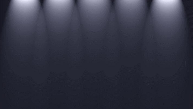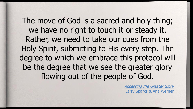The move of God is a sacred and holy thing; we have no right to touch it or steady it. Rather, we need to take our cues from the Holy Spirit, submitting to His every step. The degree to which we embrace this protocol will be the degree that we see the greater glory flowing out of the people of God.

> Accessing the Greater Glory Larry Sparks & Ana Werner